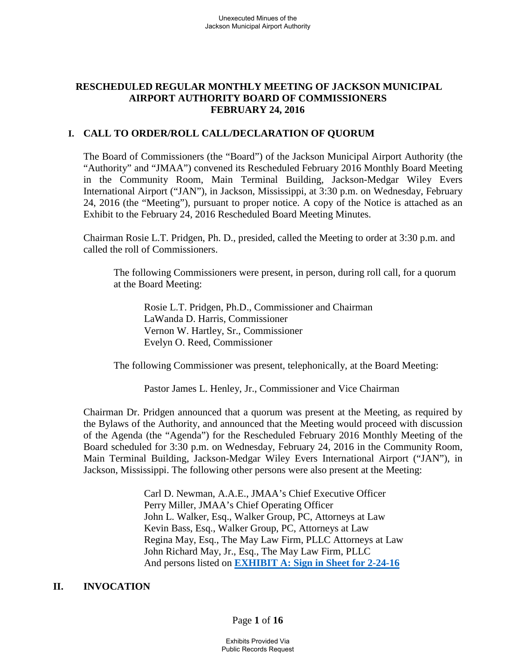## **RESCHEDULED REGULAR MONTHLY MEETING OF JACKSON MUNICIPAL AIRPORT AUTHORITY BOARD OF COMMISSIONERS FEBRUARY 24, 2016**

### **I. CALL TO ORDER/ROLL CALL/DECLARATION OF QUORUM**

The Board of Commissioners (the "Board") of the Jackson Municipal Airport Authority (the "Authority" and "JMAA") convened its Rescheduled February 2016 Monthly Board Meeting in the Community Room, Main Terminal Building, Jackson-Medgar Wiley Evers International Airport ("JAN"), in Jackson, Mississippi, at 3:30 p.m. on Wednesday, February 24, 2016 (the "Meeting"), pursuant to proper notice. A copy of the Notice is attached as an Exhibit to the February 24, 2016 Rescheduled Board Meeting Minutes.

Chairman Rosie L.T. Pridgen, Ph. D., presided, called the Meeting to order at 3:30 p.m. and called the roll of Commissioners.

The following Commissioners were present, in person, during roll call, for a quorum at the Board Meeting:

Rosie L.T. Pridgen, Ph.D., Commissioner and Chairman LaWanda D. Harris, Commissioner Vernon W. Hartley, Sr., Commissioner Evelyn O. Reed, Commissioner

The following Commissioner was present, telephonically, at the Board Meeting:

Pastor James L. Henley, Jr., Commissioner and Vice Chairman

Chairman Dr. Pridgen announced that a quorum was present at the Meeting, as required by the Bylaws of the Authority, and announced that the Meeting would proceed with discussion of the Agenda (the "Agenda") for the Rescheduled February 2016 Monthly Meeting of the Board scheduled for 3:30 p.m. on Wednesday, February 24, 2016 in the Community Room, Main Terminal Building, Jackson-Medgar Wiley Evers International Airport ("JAN"), in Jackson, Mississippi. The following other persons were also present at the Meeting:

> Carl D. Newman, A.A.E., JMAA's Chief Executive Officer Perry Miller, JMAA's Chief Operating Officer John L. Walker, Esq., Walker Group, PC, Attorneys at Law Kevin Bass, Esq., Walker Group, PC, Attorneys at Law Regina May, Esq., The May Law Firm, PLLC Attorneys at Law John Richard May, Jr., Esq., The May Law Firm, PLLC And persons listed on **EXHIBIT A: Sign in Sheet for 2-24-16**

#### **II. INVOCATION**

Page **1** of **16**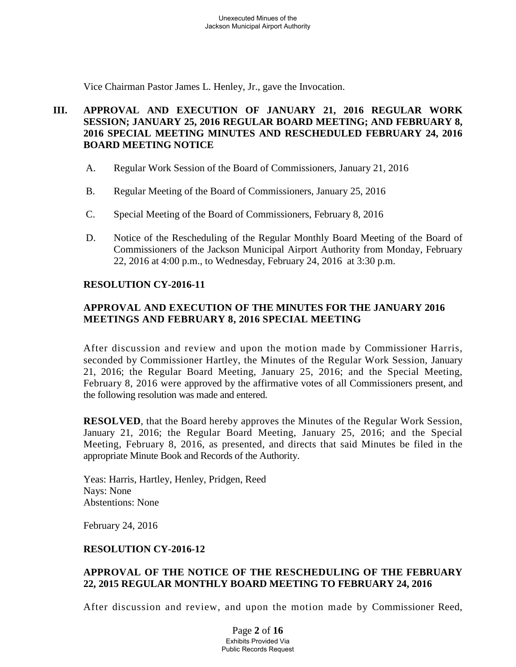Vice Chairman Pastor James L. Henley, Jr., gave the Invocation.

## **III. APPROVAL AND EXECUTION OF JANUARY 21, 2016 REGULAR WORK SESSION; JANUARY 25, 2016 REGULAR BOARD MEETING; AND FEBRUARY 8, 2016 SPECIAL MEETING MINUTES AND RESCHEDULED FEBRUARY 24, 2016 BOARD MEETING NOTICE**

- A. Regular Work Session of the Board of Commissioners, January 21, 2016
- B. Regular Meeting of the Board of Commissioners, January 25, 2016
- C. Special Meeting of the Board of Commissioners, February 8, 2016
- D. Notice of the Rescheduling of the Regular Monthly Board Meeting of the Board of Commissioners of the Jackson Municipal Airport Authority from Monday, February 22, 2016 at 4:00 p.m., to Wednesday, February 24, 2016 at 3:30 p.m.

## **RESOLUTION CY-2016-11**

## **APPROVAL AND EXECUTION OF THE MINUTES FOR THE JANUARY 2016 MEETINGS AND FEBRUARY 8, 2016 SPECIAL MEETING**

After discussion and review and upon the motion made by Commissioner Harris, seconded by Commissioner Hartley, the Minutes of the Regular Work Session, January 21, 2016; the Regular Board Meeting, January 25, 2016; and the Special Meeting, February 8, 2016 were approved by the affirmative votes of all Commissioners present, and the following resolution was made and entered.

**RESOLVED**, that the Board hereby approves the Minutes of the Regular Work Session, January 21, 2016; the Regular Board Meeting, January 25, 2016; and the Special Meeting, February 8, 2016, as presented, and directs that said Minutes be filed in the appropriate Minute Book and Records of the Authority.

Yeas: Harris, Hartley, Henley, Pridgen, Reed Nays: None Abstentions: None

February 24, 2016

## **RESOLUTION CY-2016-12**

## **APPROVAL OF THE NOTICE OF THE RESCHEDULING OF THE FEBRUARY 22, 2015 REGULAR MONTHLY BOARD MEETING TO FEBRUARY 24, 2016**

After discussion and review, and upon the motion made by Commissioner Reed,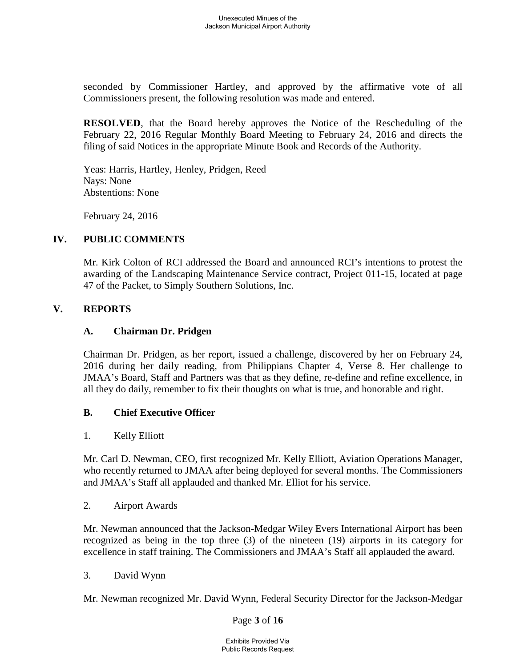seconded by Commissioner Hartley, and approved by the affirmative vote of all Commissioners present, the following resolution was made and entered.

**RESOLVED**, that the Board hereby approves the Notice of the Rescheduling of the February 22, 2016 Regular Monthly Board Meeting to February 24, 2016 and directs the filing of said Notices in the appropriate Minute Book and Records of the Authority.

Yeas: Harris, Hartley, Henley, Pridgen, Reed Nays: None Abstentions: None

February 24, 2016

## **IV. PUBLIC COMMENTS**

Mr. Kirk Colton of RCI addressed the Board and announced RCI's intentions to protest the awarding of the Landscaping Maintenance Service contract, Project 011-15, located at page 47 of the Packet, to Simply Southern Solutions, Inc.

## **V. REPORTS**

## **A. Chairman Dr. Pridgen**

Chairman Dr. Pridgen, as her report, issued a challenge, discovered by her on February 24, 2016 during her daily reading, from Philippians Chapter 4, Verse 8. Her challenge to JMAA's Board, Staff and Partners was that as they define, re-define and refine excellence, in all they do daily, remember to fix their thoughts on what is true, and honorable and right.

## **B. Chief Executive Officer**

1. Kelly Elliott

Mr. Carl D. Newman, CEO, first recognized Mr. Kelly Elliott, Aviation Operations Manager, who recently returned to JMAA after being deployed for several months. The Commissioners and JMAA's Staff all applauded and thanked Mr. Elliot for his service.

2. Airport Awards

Mr. Newman announced that the Jackson-Medgar Wiley Evers International Airport has been recognized as being in the top three (3) of the nineteen (19) airports in its category for excellence in staff training. The Commissioners and JMAA's Staff all applauded the award.

3. David Wynn

Mr. Newman recognized Mr. David Wynn, Federal Security Director for the Jackson-Medgar

#### Page **3** of **16**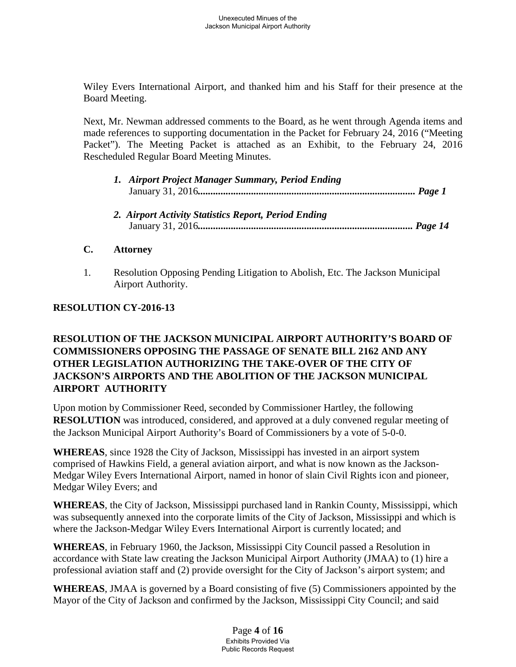Wiley Evers International Airport, and thanked him and his Staff for their presence at the Board Meeting.

Next, Mr. Newman addressed comments to the Board, as he went through Agenda items and made references to supporting documentation in the Packet for February 24, 2016 ("Meeting Packet"). The Meeting Packet is attached as an Exhibit, to the February 24, 2016 Rescheduled Regular Board Meeting Minutes.

- *1. Airport Project Manager Summary, Period Ending* January 31, 2016*...................................................................................... Page 1*
- *2. Airport Activity Statistics Report, Period Ending* January 31, 2016*..................................................................................... Page 14*

## **C. Attorney**

1. Resolution Opposing Pending Litigation to Abolish, Etc. The Jackson Municipal Airport Authority.

## **RESOLUTION CY-2016-13**

# **RESOLUTION OF THE JACKSON MUNICIPAL AIRPORT AUTHORITY'S BOARD OF COMMISSIONERS OPPOSING THE PASSAGE OF SENATE BILL 2162 AND ANY OTHER LEGISLATION AUTHORIZING THE TAKE-OVER OF THE CITY OF JACKSON'S AIRPORTS AND THE ABOLITION OF THE JACKSON MUNICIPAL AIRPORT AUTHORITY**

Upon motion by Commissioner Reed, seconded by Commissioner Hartley, the following **RESOLUTION** was introduced, considered, and approved at a duly convened regular meeting of the Jackson Municipal Airport Authority's Board of Commissioners by a vote of 5-0-0.

**WHEREAS**, since 1928 the City of Jackson, Mississippi has invested in an airport system comprised of Hawkins Field, a general aviation airport, and what is now known as the Jackson-Medgar Wiley Evers International Airport, named in honor of slain Civil Rights icon and pioneer, Medgar Wiley Evers; and

**WHEREAS**, the City of Jackson, Mississippi purchased land in Rankin County, Mississippi, which was subsequently annexed into the corporate limits of the City of Jackson, Mississippi and which is where the Jackson-Medgar Wiley Evers International Airport is currently located; and

**WHEREAS**, in February 1960, the Jackson, Mississippi City Council passed a Resolution in accordance with State law creating the Jackson Municipal Airport Authority (JMAA) to (1) hire a professional aviation staff and (2) provide oversight for the City of Jackson's airport system; and

**WHEREAS**, JMAA is governed by a Board consisting of five (5) Commissioners appointed by the Mayor of the City of Jackson and confirmed by the Jackson, Mississippi City Council; and said

> Page **4** of **16** Exhibits Provided Via Public Records Request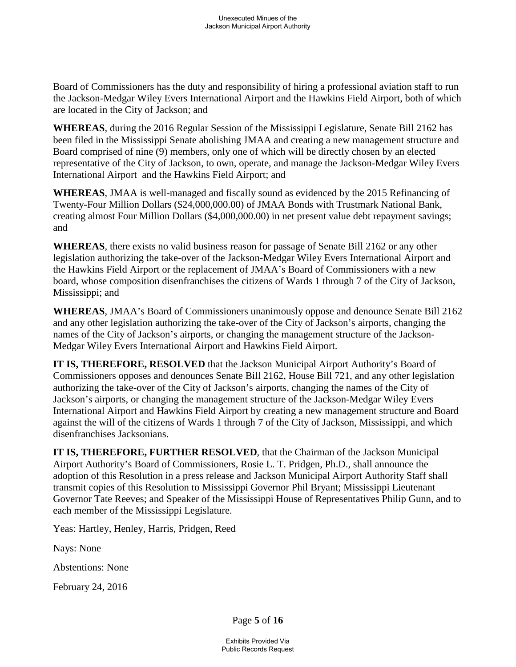Board of Commissioners has the duty and responsibility of hiring a professional aviation staff to run the Jackson-Medgar Wiley Evers International Airport and the Hawkins Field Airport, both of which are located in the City of Jackson; and

**WHEREAS**, during the 2016 Regular Session of the Mississippi Legislature, Senate Bill 2162 has been filed in the Mississippi Senate abolishing JMAA and creating a new management structure and Board comprised of nine (9) members, only one of which will be directly chosen by an elected representative of the City of Jackson, to own, operate, and manage the Jackson-Medgar Wiley Evers International Airport and the Hawkins Field Airport; and

**WHEREAS**, JMAA is well-managed and fiscally sound as evidenced by the 2015 Refinancing of Twenty-Four Million Dollars (\$24,000,000.00) of JMAA Bonds with Trustmark National Bank, creating almost Four Million Dollars (\$4,000,000.00) in net present value debt repayment savings; and

**WHEREAS**, there exists no valid business reason for passage of Senate Bill 2162 or any other legislation authorizing the take-over of the Jackson-Medgar Wiley Evers International Airport and the Hawkins Field Airport or the replacement of JMAA's Board of Commissioners with a new board, whose composition disenfranchises the citizens of Wards 1 through 7 of the City of Jackson, Mississippi; and

**WHEREAS**, JMAA's Board of Commissioners unanimously oppose and denounce Senate Bill 2162 and any other legislation authorizing the take-over of the City of Jackson's airports, changing the names of the City of Jackson's airports, or changing the management structure of the Jackson-Medgar Wiley Evers International Airport and Hawkins Field Airport.

**IT IS, THEREFORE, RESOLVED** that the Jackson Municipal Airport Authority's Board of Commissioners opposes and denounces Senate Bill 2162, House Bill 721, and any other legislation authorizing the take-over of the City of Jackson's airports, changing the names of the City of Jackson's airports, or changing the management structure of the Jackson-Medgar Wiley Evers International Airport and Hawkins Field Airport by creating a new management structure and Board against the will of the citizens of Wards 1 through 7 of the City of Jackson, Mississippi, and which disenfranchises Jacksonians.

**IT IS, THEREFORE, FURTHER RESOLVED**, that the Chairman of the Jackson Municipal Airport Authority's Board of Commissioners, Rosie L. T. Pridgen, Ph.D., shall announce the adoption of this Resolution in a press release and Jackson Municipal Airport Authority Staff shall transmit copies of this Resolution to Mississippi Governor Phil Bryant; Mississippi Lieutenant Governor Tate Reeves; and Speaker of the Mississippi House of Representatives Philip Gunn, and to each member of the Mississippi Legislature.

Yeas: Hartley, Henley, Harris, Pridgen, Reed

Nays: None

Abstentions: None

February 24, 2016

Page **5** of **16**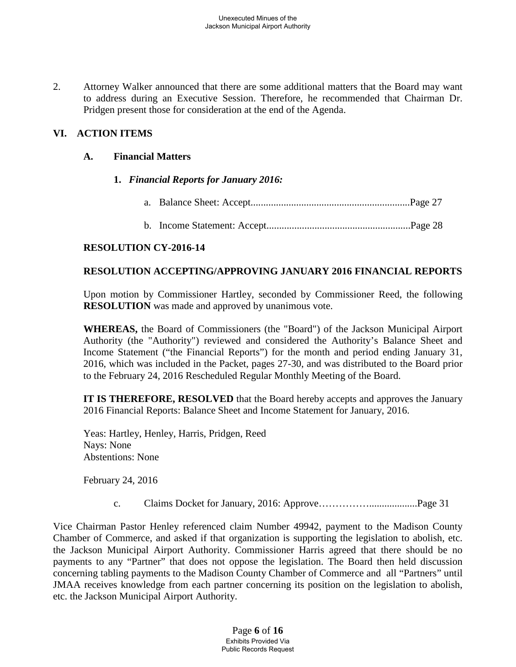2. Attorney Walker announced that there are some additional matters that the Board may want to address during an Executive Session. Therefore, he recommended that Chairman Dr. Pridgen present those for consideration at the end of the Agenda.

## **VI. ACTION ITEMS**

### **A. Financial Matters**

- **1.** *Financial Reports for January 2016:*
	- a. Balance Sheet: Accept...............................................................Page 27
	- b. Income Statement: Accept.........................................................Page 28

### **RESOLUTION CY-2016-14**

### **RESOLUTION ACCEPTING/APPROVING JANUARY 2016 FINANCIAL REPORTS**

Upon motion by Commissioner Hartley, seconded by Commissioner Reed, the following **RESOLUTION** was made and approved by unanimous vote.

**WHEREAS,** the Board of Commissioners (the "Board") of the Jackson Municipal Airport Authority (the "Authority") reviewed and considered the Authority's Balance Sheet and Income Statement ("the Financial Reports") for the month and period ending January 31, 2016, which was included in the Packet, pages 27-30, and was distributed to the Board prior to the February 24, 2016 Rescheduled Regular Monthly Meeting of the Board.

**IT IS THEREFORE, RESOLVED** that the Board hereby accepts and approves the January 2016 Financial Reports: Balance Sheet and Income Statement for January, 2016.

Yeas: Hartley, Henley, Harris, Pridgen, Reed Nays: None Abstentions: None

February 24, 2016

c. Claims Docket for January, 2016: Approve……………...................Page 31

Vice Chairman Pastor Henley referenced claim Number 49942, payment to the Madison County Chamber of Commerce, and asked if that organization is supporting the legislation to abolish, etc. the Jackson Municipal Airport Authority. Commissioner Harris agreed that there should be no payments to any "Partner" that does not oppose the legislation. The Board then held discussion concerning tabling payments to the Madison County Chamber of Commerce and all "Partners" until JMAA receives knowledge from each partner concerning its position on the legislation to abolish, etc. the Jackson Municipal Airport Authority.

> Page **6** of **16** Exhibits Provided Via Public Records Request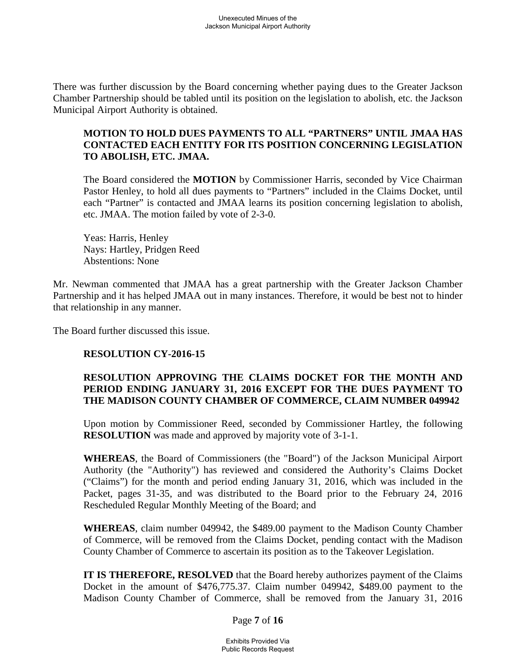There was further discussion by the Board concerning whether paying dues to the Greater Jackson Chamber Partnership should be tabled until its position on the legislation to abolish, etc. the Jackson Municipal Airport Authority is obtained.

## **MOTION TO HOLD DUES PAYMENTS TO ALL "PARTNERS" UNTIL JMAA HAS CONTACTED EACH ENTITY FOR ITS POSITION CONCERNING LEGISLATION TO ABOLISH, ETC. JMAA.**

The Board considered the **MOTION** by Commissioner Harris, seconded by Vice Chairman Pastor Henley, to hold all dues payments to "Partners" included in the Claims Docket, until each "Partner" is contacted and JMAA learns its position concerning legislation to abolish, etc. JMAA. The motion failed by vote of 2-3-0.

Yeas: Harris, Henley Nays: Hartley, Pridgen Reed Abstentions: None

Mr. Newman commented that JMAA has a great partnership with the Greater Jackson Chamber Partnership and it has helped JMAA out in many instances. Therefore, it would be best not to hinder that relationship in any manner.

The Board further discussed this issue.

## **RESOLUTION CY-2016-15**

## **RESOLUTION APPROVING THE CLAIMS DOCKET FOR THE MONTH AND PERIOD ENDING JANUARY 31, 2016 EXCEPT FOR THE DUES PAYMENT TO THE MADISON COUNTY CHAMBER OF COMMERCE, CLAIM NUMBER 049942**

Upon motion by Commissioner Reed, seconded by Commissioner Hartley, the following **RESOLUTION** was made and approved by majority vote of 3-1-1.

**WHEREAS**, the Board of Commissioners (the "Board") of the Jackson Municipal Airport Authority (the "Authority") has reviewed and considered the Authority's Claims Docket ("Claims") for the month and period ending January 31, 2016, which was included in the Packet, pages 31-35, and was distributed to the Board prior to the February 24, 2016 Rescheduled Regular Monthly Meeting of the Board; and

**WHEREAS**, claim number 049942, the \$489.00 payment to the Madison County Chamber of Commerce, will be removed from the Claims Docket, pending contact with the Madison County Chamber of Commerce to ascertain its position as to the Takeover Legislation.

**IT IS THEREFORE, RESOLVED** that the Board hereby authorizes payment of the Claims Docket in the amount of \$476,775.37. Claim number 049942, \$489.00 payment to the Madison County Chamber of Commerce, shall be removed from the January 31, 2016

Page **7** of **16**

Exhibits Provided Via Public Records Request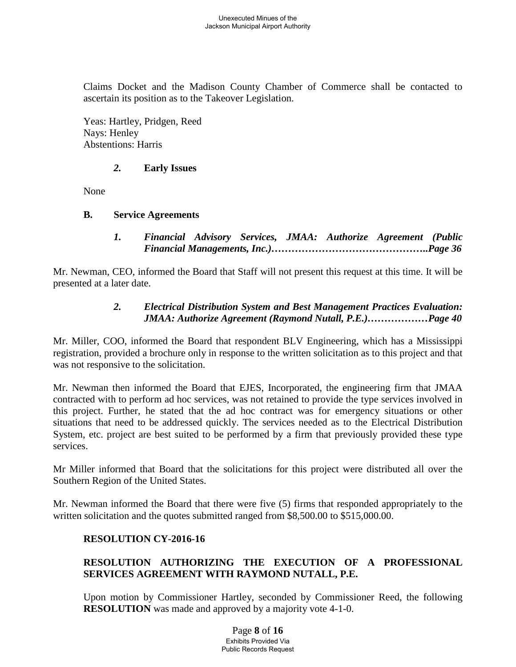Claims Docket and the Madison County Chamber of Commerce shall be contacted to ascertain its position as to the Takeover Legislation.

Yeas: Hartley, Pridgen, Reed Nays: Henley Abstentions: Harris

## *2.* **Early Issues**

None

### **B. Service Agreements**

*1. Financial Advisory Services, JMAA: Authorize Agreement (Public Financial Managements, Inc.)………………………………………..Page 36*

Mr. Newman, CEO, informed the Board that Staff will not present this request at this time. It will be presented at a later date.

## *2. Electrical Distribution System and Best Management Practices Evaluation: JMAA: Authorize Agreement (Raymond Nutall, P.E.)………………Page 40*

Mr. Miller, COO, informed the Board that respondent BLV Engineering, which has a Mississippi registration, provided a brochure only in response to the written solicitation as to this project and that was not responsive to the solicitation.

Mr. Newman then informed the Board that EJES, Incorporated, the engineering firm that JMAA contracted with to perform ad hoc services, was not retained to provide the type services involved in this project. Further, he stated that the ad hoc contract was for emergency situations or other situations that need to be addressed quickly. The services needed as to the Electrical Distribution System, etc. project are best suited to be performed by a firm that previously provided these type services.

Mr Miller informed that Board that the solicitations for this project were distributed all over the Southern Region of the United States.

Mr. Newman informed the Board that there were five (5) firms that responded appropriately to the written solicitation and the quotes submitted ranged from \$8,500.00 to \$515,000.00.

## **RESOLUTION CY-2016-16**

# **RESOLUTION AUTHORIZING THE EXECUTION OF A PROFESSIONAL SERVICES AGREEMENT WITH RAYMOND NUTALL, P.E.**

Upon motion by Commissioner Hartley, seconded by Commissioner Reed, the following **RESOLUTION** was made and approved by a majority vote 4-1-0.

> Page **8** of **16** Exhibits Provided Via Public Records Request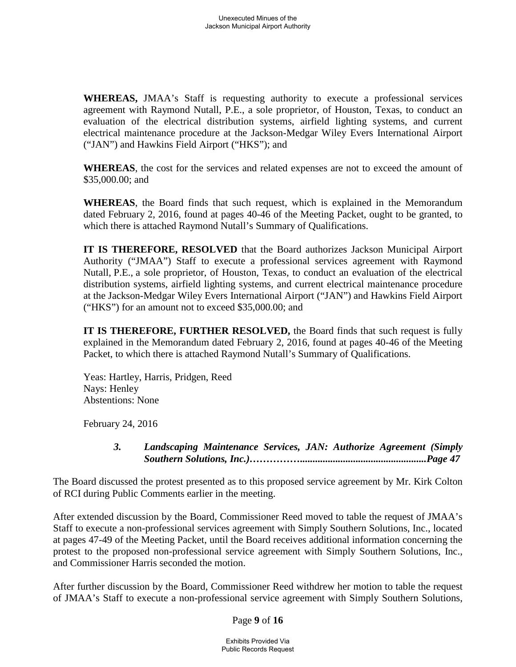**WHEREAS,** JMAA's Staff is requesting authority to execute a professional services agreement with Raymond Nutall, P.E., a sole proprietor, of Houston, Texas, to conduct an evaluation of the electrical distribution systems, airfield lighting systems, and current electrical maintenance procedure at the Jackson-Medgar Wiley Evers International Airport ("JAN") and Hawkins Field Airport ("HKS"); and

**WHEREAS**, the cost for the services and related expenses are not to exceed the amount of \$35,000.00; and

**WHEREAS**, the Board finds that such request, which is explained in the Memorandum dated February 2, 2016, found at pages 40-46 of the Meeting Packet, ought to be granted, to which there is attached Raymond Nutall's Summary of Qualifications.

**IT IS THEREFORE, RESOLVED** that the Board authorizes Jackson Municipal Airport Authority ("JMAA") Staff to execute a professional services agreement with Raymond Nutall, P.E., a sole proprietor, of Houston, Texas, to conduct an evaluation of the electrical distribution systems, airfield lighting systems, and current electrical maintenance procedure at the Jackson-Medgar Wiley Evers International Airport ("JAN") and Hawkins Field Airport ("HKS") for an amount not to exceed \$35,000.00; and

**IT IS THEREFORE, FURTHER RESOLVED,** the Board finds that such request is fully explained in the Memorandum dated February 2, 2016, found at pages 40-46 of the Meeting Packet, to which there is attached Raymond Nutall's Summary of Qualifications.

Yeas: Hartley, Harris, Pridgen, Reed Nays: Henley Abstentions: None

February 24, 2016

## *3. Landscaping Maintenance Services, JAN: Authorize Agreement (Simply Southern Solutions, Inc.)……………..................................................Page 47*

The Board discussed the protest presented as to this proposed service agreement by Mr. Kirk Colton of RCI during Public Comments earlier in the meeting.

After extended discussion by the Board, Commissioner Reed moved to table the request of JMAA's Staff to execute a non-professional services agreement with Simply Southern Solutions, Inc., located at pages 47-49 of the Meeting Packet, until the Board receives additional information concerning the protest to the proposed non-professional service agreement with Simply Southern Solutions, Inc., and Commissioner Harris seconded the motion.

After further discussion by the Board, Commissioner Reed withdrew her motion to table the request of JMAA's Staff to execute a non-professional service agreement with Simply Southern Solutions,

Page **9** of **16**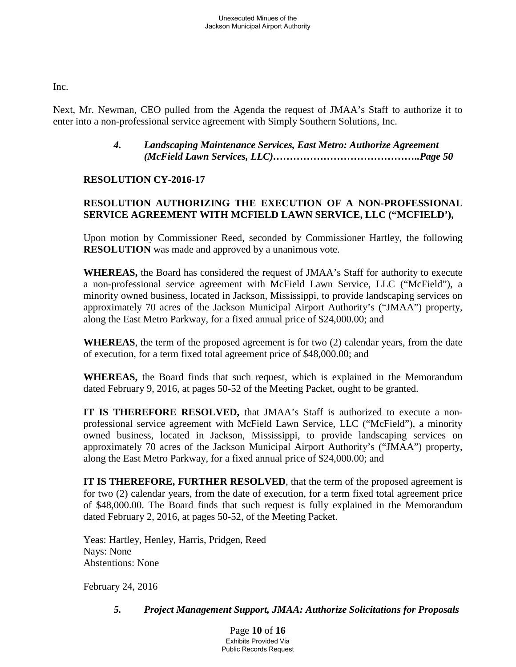Inc.

Next, Mr. Newman, CEO pulled from the Agenda the request of JMAA's Staff to authorize it to enter into a non-professional service agreement with Simply Southern Solutions, Inc.

### *4. Landscaping Maintenance Services, East Metro: Authorize Agreement (McField Lawn Services, LLC)……………………………………..Page 50*

## **RESOLUTION CY-2016-17**

## **RESOLUTION AUTHORIZING THE EXECUTION OF A NON-PROFESSIONAL SERVICE AGREEMENT WITH MCFIELD LAWN SERVICE, LLC ("MCFIELD'),**

Upon motion by Commissioner Reed, seconded by Commissioner Hartley, the following **RESOLUTION** was made and approved by a unanimous vote.

**WHEREAS,** the Board has considered the request of JMAA's Staff for authority to execute a non-professional service agreement with McField Lawn Service, LLC ("McField"), a minority owned business, located in Jackson, Mississippi, to provide landscaping services on approximately 70 acres of the Jackson Municipal Airport Authority's ("JMAA") property, along the East Metro Parkway, for a fixed annual price of \$24,000.00; and

**WHEREAS**, the term of the proposed agreement is for two (2) calendar years, from the date of execution, for a term fixed total agreement price of \$48,000.00; and

**WHEREAS,** the Board finds that such request, which is explained in the Memorandum dated February 9, 2016, at pages 50-52 of the Meeting Packet, ought to be granted.

**IT IS THEREFORE RESOLVED,** that JMAA's Staff is authorized to execute a nonprofessional service agreement with McField Lawn Service, LLC ("McField"), a minority owned business, located in Jackson, Mississippi, to provide landscaping services on approximately 70 acres of the Jackson Municipal Airport Authority's ("JMAA") property, along the East Metro Parkway, for a fixed annual price of \$24,000.00; and

**IT IS THEREFORE, FURTHER RESOLVED**, that the term of the proposed agreement is for two (2) calendar years, from the date of execution, for a term fixed total agreement price of \$48,000.00. The Board finds that such request is fully explained in the Memorandum dated February 2, 2016, at pages 50-52, of the Meeting Packet.

Yeas: Hartley, Henley, Harris, Pridgen, Reed Nays: None Abstentions: None

February 24, 2016

*5. Project Management Support, JMAA: Authorize Solicitations for Proposals*

Page **10** of **16** Exhibits Provided Via Public Records Request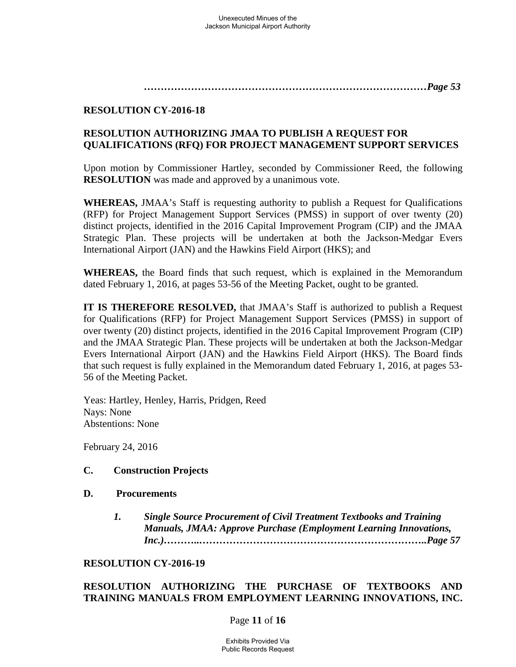*…………………………………………………………………………Page 53*

## **RESOLUTION CY-2016-18**

## **RESOLUTION AUTHORIZING JMAA TO PUBLISH A REQUEST FOR QUALIFICATIONS (RFQ) FOR PROJECT MANAGEMENT SUPPORT SERVICES**

Upon motion by Commissioner Hartley, seconded by Commissioner Reed, the following **RESOLUTION** was made and approved by a unanimous vote.

**WHEREAS,** JMAA's Staff is requesting authority to publish a Request for Qualifications (RFP) for Project Management Support Services (PMSS) in support of over twenty (20) distinct projects, identified in the 2016 Capital Improvement Program (CIP) and the JMAA Strategic Plan. These projects will be undertaken at both the Jackson-Medgar Evers International Airport (JAN) and the Hawkins Field Airport (HKS); and

**WHEREAS,** the Board finds that such request, which is explained in the Memorandum dated February 1, 2016, at pages 53-56 of the Meeting Packet, ought to be granted.

**IT IS THEREFORE RESOLVED,** that JMAA's Staff is authorized to publish a Request for Qualifications (RFP) for Project Management Support Services (PMSS) in support of over twenty (20) distinct projects, identified in the 2016 Capital Improvement Program (CIP) and the JMAA Strategic Plan. These projects will be undertaken at both the Jackson-Medgar Evers International Airport (JAN) and the Hawkins Field Airport (HKS). The Board finds that such request is fully explained in the Memorandum dated February 1, 2016, at pages 53- 56 of the Meeting Packet.

Yeas: Hartley, Henley, Harris, Pridgen, Reed Nays: None Abstentions: None

February 24, 2016

## **C. Construction Projects**

#### **D. Procurements**

*1. Single Source Procurement of Civil Treatment Textbooks and Training Manuals, JMAA: Approve Purchase (Employment Learning Innovations, Inc.)………..…………………………………………………………..Page 57*

#### **RESOLUTION CY-2016-19**

### **RESOLUTION AUTHORIZING THE PURCHASE OF TEXTBOOKS AND TRAINING MANUALS FROM EMPLOYMENT LEARNING INNOVATIONS, INC.**

#### Page **11** of **16**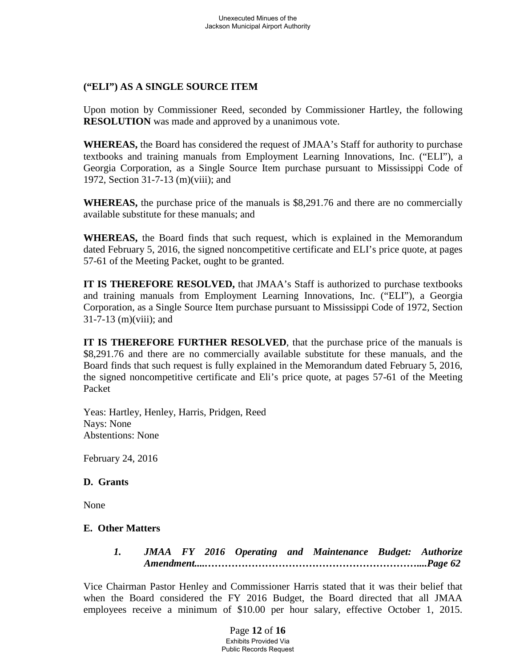### **("ELI") AS A SINGLE SOURCE ITEM**

Upon motion by Commissioner Reed, seconded by Commissioner Hartley, the following **RESOLUTION** was made and approved by a unanimous vote.

**WHEREAS,** the Board has considered the request of JMAA's Staff for authority to purchase textbooks and training manuals from Employment Learning Innovations, Inc. ("ELI"), a Georgia Corporation, as a Single Source Item purchase pursuant to Mississippi Code of 1972, Section 31-7-13 (m)(viii); and

**WHEREAS,** the purchase price of the manuals is \$8,291.76 and there are no commercially available substitute for these manuals; and

**WHEREAS,** the Board finds that such request, which is explained in the Memorandum dated February 5, 2016, the signed noncompetitive certificate and ELI's price quote, at pages 57-61 of the Meeting Packet, ought to be granted.

**IT IS THEREFORE RESOLVED,** that JMAA's Staff is authorized to purchase textbooks and training manuals from Employment Learning Innovations, Inc. ("ELI"), a Georgia Corporation, as a Single Source Item purchase pursuant to Mississippi Code of 1972, Section 31-7-13 (m)(viii); and

**IT IS THEREFORE FURTHER RESOLVED**, that the purchase price of the manuals is \$8,291.76 and there are no commercially available substitute for these manuals, and the Board finds that such request is fully explained in the Memorandum dated February 5, 2016, the signed noncompetitive certificate and Eli's price quote, at pages 57-61 of the Meeting Packet

Yeas: Hartley, Henley, Harris, Pridgen, Reed Nays: None Abstentions: None

February 24, 2016

#### **D. Grants**

None

### **E. Other Matters**

*1. JMAA FY 2016 Operating and Maintenance Budget: Authorize Amendment....………………………………………………………....Page 62*

Vice Chairman Pastor Henley and Commissioner Harris stated that it was their belief that when the Board considered the FY 2016 Budget, the Board directed that all JMAA employees receive a minimum of \$10.00 per hour salary, effective October 1, 2015.

> Page **12** of **16** Exhibits Provided Via Public Records Request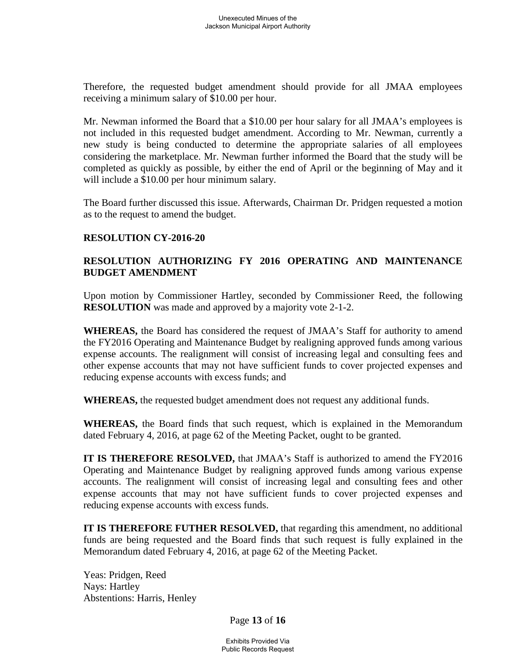Therefore, the requested budget amendment should provide for all JMAA employees receiving a minimum salary of \$10.00 per hour.

Mr. Newman informed the Board that a \$10.00 per hour salary for all JMAA's employees is not included in this requested budget amendment. According to Mr. Newman, currently a new study is being conducted to determine the appropriate salaries of all employees considering the marketplace. Mr. Newman further informed the Board that the study will be completed as quickly as possible, by either the end of April or the beginning of May and it will include a \$10.00 per hour minimum salary.

The Board further discussed this issue. Afterwards, Chairman Dr. Pridgen requested a motion as to the request to amend the budget.

### **RESOLUTION CY-2016-20**

## **RESOLUTION AUTHORIZING FY 2016 OPERATING AND MAINTENANCE BUDGET AMENDMENT**

Upon motion by Commissioner Hartley, seconded by Commissioner Reed, the following **RESOLUTION** was made and approved by a majority vote 2-1-2.

**WHEREAS,** the Board has considered the request of JMAA's Staff for authority to amend the FY2016 Operating and Maintenance Budget by realigning approved funds among various expense accounts. The realignment will consist of increasing legal and consulting fees and other expense accounts that may not have sufficient funds to cover projected expenses and reducing expense accounts with excess funds; and

**WHEREAS,** the requested budget amendment does not request any additional funds.

**WHEREAS,** the Board finds that such request, which is explained in the Memorandum dated February 4, 2016, at page 62 of the Meeting Packet, ought to be granted.

**IT IS THEREFORE RESOLVED,** that JMAA's Staff is authorized to amend the FY2016 Operating and Maintenance Budget by realigning approved funds among various expense accounts. The realignment will consist of increasing legal and consulting fees and other expense accounts that may not have sufficient funds to cover projected expenses and reducing expense accounts with excess funds.

**IT IS THEREFORE FUTHER RESOLVED,** that regarding this amendment, no additional funds are being requested and the Board finds that such request is fully explained in the Memorandum dated February 4, 2016, at page 62 of the Meeting Packet.

Yeas: Pridgen, Reed Nays: Hartley Abstentions: Harris, Henley

Page **13** of **16**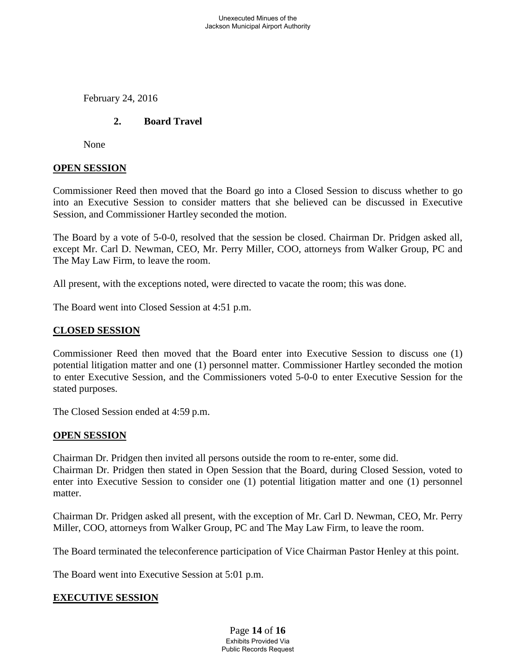February 24, 2016

### **2. Board Travel**

None

#### **OPEN SESSION**

Commissioner Reed then moved that the Board go into a Closed Session to discuss whether to go into an Executive Session to consider matters that she believed can be discussed in Executive Session, and Commissioner Hartley seconded the motion.

The Board by a vote of 5-0-0, resolved that the session be closed. Chairman Dr. Pridgen asked all, except Mr. Carl D. Newman, CEO, Mr. Perry Miller, COO, attorneys from Walker Group, PC and The May Law Firm, to leave the room.

All present, with the exceptions noted, were directed to vacate the room; this was done.

The Board went into Closed Session at 4:51 p.m.

### **CLOSED SESSION**

Commissioner Reed then moved that the Board enter into Executive Session to discuss one (1) potential litigation matter and one (1) personnel matter. Commissioner Hartley seconded the motion to enter Executive Session, and the Commissioners voted 5-0-0 to enter Executive Session for the stated purposes.

The Closed Session ended at 4:59 p.m.

#### **OPEN SESSION**

Chairman Dr. Pridgen then invited all persons outside the room to re-enter, some did. Chairman Dr. Pridgen then stated in Open Session that the Board, during Closed Session, voted to enter into Executive Session to consider one (1) potential litigation matter and one (1) personnel matter.

Chairman Dr. Pridgen asked all present, with the exception of Mr. Carl D. Newman, CEO, Mr. Perry Miller, COO, attorneys from Walker Group, PC and The May Law Firm, to leave the room.

The Board terminated the teleconference participation of Vice Chairman Pastor Henley at this point.

The Board went into Executive Session at 5:01 p.m.

#### **EXECUTIVE SESSION**

#### Page **14** of **16** Exhibits Provided Via Public Records Request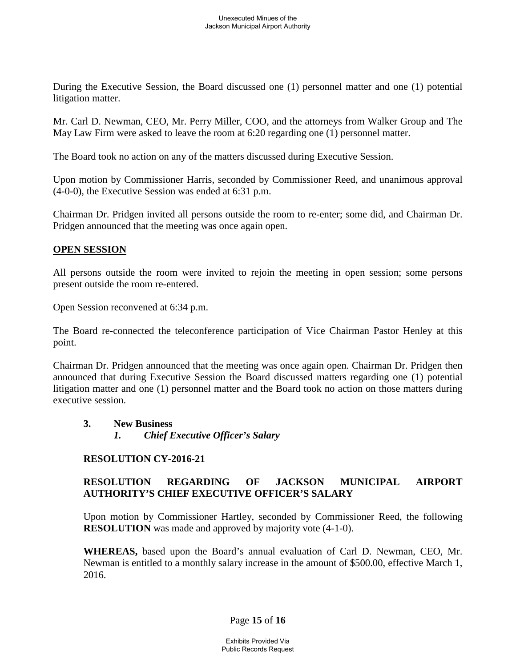During the Executive Session, the Board discussed one (1) personnel matter and one (1) potential litigation matter.

Mr. Carl D. Newman, CEO, Mr. Perry Miller, COO, and the attorneys from Walker Group and The May Law Firm were asked to leave the room at 6:20 regarding one (1) personnel matter.

The Board took no action on any of the matters discussed during Executive Session.

Upon motion by Commissioner Harris, seconded by Commissioner Reed, and unanimous approval (4-0-0), the Executive Session was ended at 6:31 p.m.

Chairman Dr. Pridgen invited all persons outside the room to re-enter; some did, and Chairman Dr. Pridgen announced that the meeting was once again open.

## **OPEN SESSION**

All persons outside the room were invited to rejoin the meeting in open session; some persons present outside the room re-entered.

Open Session reconvened at 6:34 p.m.

The Board re-connected the teleconference participation of Vice Chairman Pastor Henley at this point.

Chairman Dr. Pridgen announced that the meeting was once again open. Chairman Dr. Pridgen then announced that during Executive Session the Board discussed matters regarding one (1) potential litigation matter and one (1) personnel matter and the Board took no action on those matters during executive session.

## **3. New Business**

*1. Chief Executive Officer's Salary*

# **RESOLUTION CY-2016-21**

# **RESOLUTION REGARDING OF JACKSON MUNICIPAL AIRPORT AUTHORITY'S CHIEF EXECUTIVE OFFICER'S SALARY**

Upon motion by Commissioner Hartley, seconded by Commissioner Reed, the following **RESOLUTION** was made and approved by majority vote  $(4-1-0)$ .

**WHEREAS,** based upon the Board's annual evaluation of Carl D. Newman, CEO, Mr. Newman is entitled to a monthly salary increase in the amount of \$500.00, effective March 1, 2016.

## Page **15** of **16**